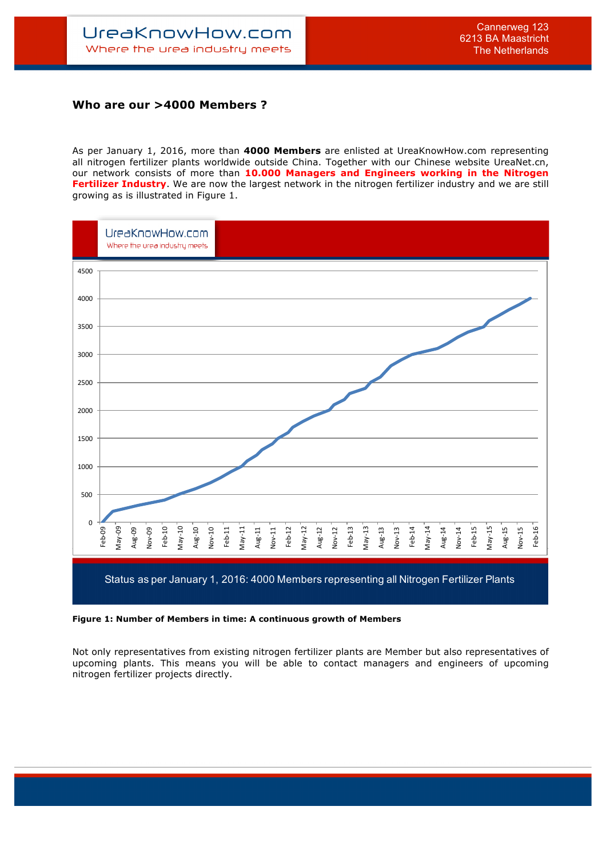## **Who are our >4000 Members ?**

As per January 1, 2016, more than **4000 Members** are enlisted at UreaKnowHow.com representing all nitrogen fertilizer plants worldwide outside China. Together with our Chinese website UreaNet.cn, our network consists of more than **10.000 Managers and Engineers working in the Nitrogen Fertilizer Industry**. We are now the largest network in the nitrogen fertilizer industry and we are still growing as is illustrated in Figure 1.



## **Figure 1: Number of Members in time: A continuous growth of Members**

Not only representatives from existing nitrogen fertilizer plants are Member but also representatives of upcoming plants. This means you will be able to contact managers and engineers of upcoming nitrogen fertilizer projects directly.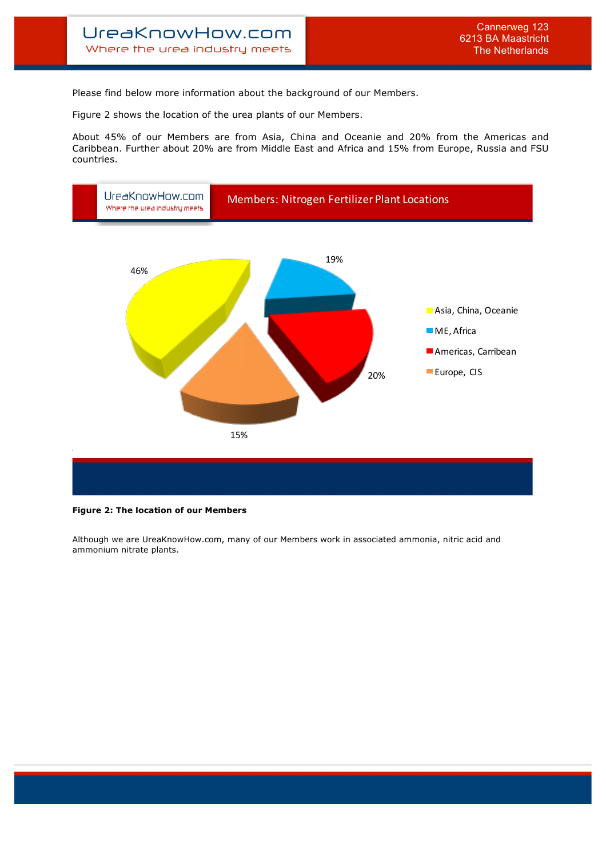Please find below more information about the background of our Members.

Figure 2 shows the location of the urea plants of our Members.

About 45% of our Members are from Asia, China and Oceanie and 20% from the Americas and Caribbean. Further about 20% are from Middle East and Africa and 15% from Europe, Russia and FSU countries.



## **Figure 2: The location of our Members**

Although we are UreaKnowHow.com, many of our Members work in associated ammonia, nitric acid and ammonium nitrate plants.